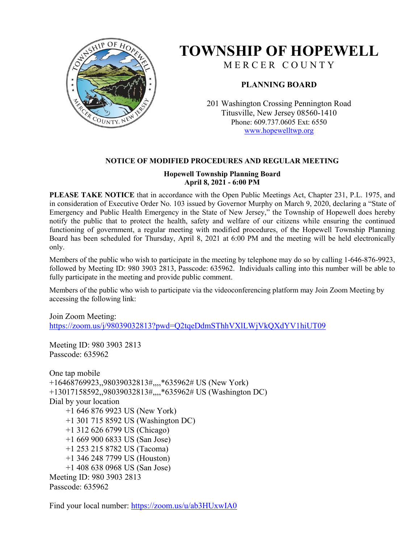

## **TOWNSHIP OF HOPEWELL**

M E R C E R C O U N T Y

## **PLANNING BOARD**

201 Washington Crossing Pennington Road Titusville, New Jersey 08560-1410 Phone: 609.737.0605 Ext: 6550 [www.hopewelltwp.org](http://www.hopewelltwp.org/)

#### **NOTICE OF MODIFIED PROCEDURES AND REGULAR MEETING**

#### **Hopewell Township Planning Board April 8, 2021 - 6:00 PM**

**PLEASE TAKE NOTICE** that in accordance with the Open Public Meetings Act, Chapter 231, P.L. 1975, and in consideration of Executive Order No. 103 issued by Governor Murphy on March 9, 2020, declaring a "State of Emergency and Public Health Emergency in the State of New Jersey," the Township of Hopewell does hereby notify the public that to protect the health, safety and welfare of our citizens while ensuring the continued functioning of government, a regular meeting with modified procedures, of the Hopewell Township Planning Board has been scheduled for Thursday, April 8, 2021 at 6:00 PM and the meeting will be held electronically only.

Members of the public who wish to participate in the meeting by telephone may do so by calling 1-646-876-9923, followed by Meeting ID: 980 3903 2813, Passcode: 635962. Individuals calling into this number will be able to fully participate in the meeting and provide public comment.

Members of the public who wish to participate via the videoconferencing platform may Join Zoom Meeting by accessing the following link:

Join Zoom Meeting: <https://zoom.us/j/98039032813?pwd=Q2tqeDdmSThhVXlLWjVkQXdYV1hiUT09>

Meeting ID: 980 3903 2813 Passcode: 635962

One tap mobile +16468769923,,98039032813#,,,,\*635962# US (New York) +13017158592,,98039032813#,,,,\*635962# US (Washington DC) Dial by your location +1 646 876 9923 US (New York) +1 301 715 8592 US (Washington DC) +1 312 626 6799 US (Chicago) +1 669 900 6833 US (San Jose) +1 253 215 8782 US (Tacoma) +1 346 248 7799 US (Houston) +1 408 638 0968 US (San Jose) Meeting ID: 980 3903 2813 Passcode: 635962

Find your local number:<https://zoom.us/u/ab3HUxwIA0>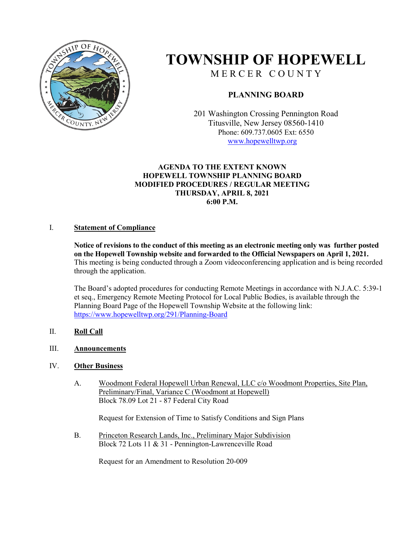

# **TOWNSHIP OF HOPEWELL**

M E R C E R C O U N T Y

### **PLANNING BOARD**

201 Washington Crossing Pennington Road Titusville, New Jersey 08560-1410 Phone: 609.737.0605 Ext: 6550 [www.hopewelltwp.org](http://www.hopewelltwp.org/)

#### **AGENDA TO THE EXTENT KNOWN HOPEWELL TOWNSHIP PLANNING BOARD MODIFIED PROCEDURES / REGULAR MEETING THURSDAY, APRIL 8, 2021 6:00 P.M.**

#### I. **Statement of Compliance**

**Notice of revisions to the conduct of this meeting as an electronic meeting only was further posted on the Hopewell Township website and forwarded to the Official Newspapers on April 1, 2021.**  This meeting is being conducted through a Zoom videoconferencing application and is being recorded through the application.

The Board's adopted procedures for conducting Remote Meetings in accordance with N.J.A.C. 5:39-1 et seq., Emergency Remote Meeting Protocol for Local Public Bodies, is available through the Planning Board Page of the Hopewell Township Website at the following link: <https://www.hopewelltwp.org/291/Planning-Board>

#### II. **Roll Call**

#### III. **Announcements**

#### IV. **Other Business**

A. Woodmont Federal Hopewell Urban Renewal, LLC c/o Woodmont Properties, Site Plan, Preliminary/Final, Variance C (Woodmont at Hopewell) Block 78.09 Lot 21 - 87 Federal City Road

Request for Extension of Time to Satisfy Conditions and Sign Plans

B. Princeton Research Lands, Inc., Preliminary Major Subdivision Block 72 Lots 11 & 31 - Pennington-Lawrenceville Road

Request for an Amendment to Resolution 20-009